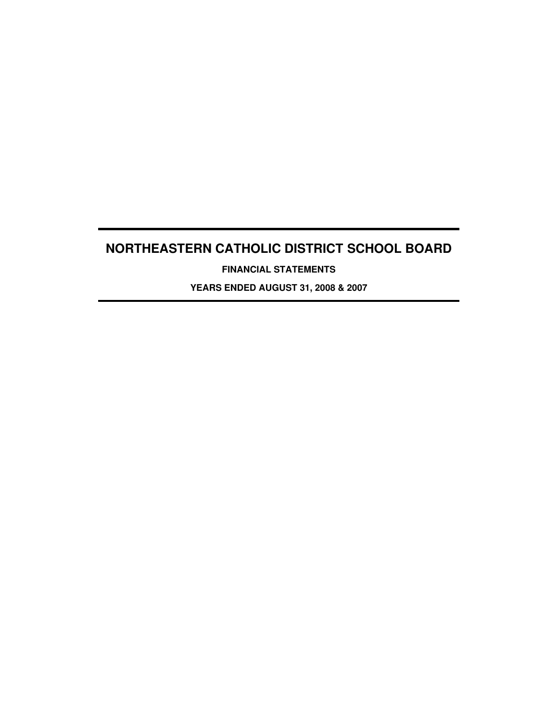**FINANCIAL STATEMENTS**

**YEARS ENDED AUGUST 31, 2008 & 2007**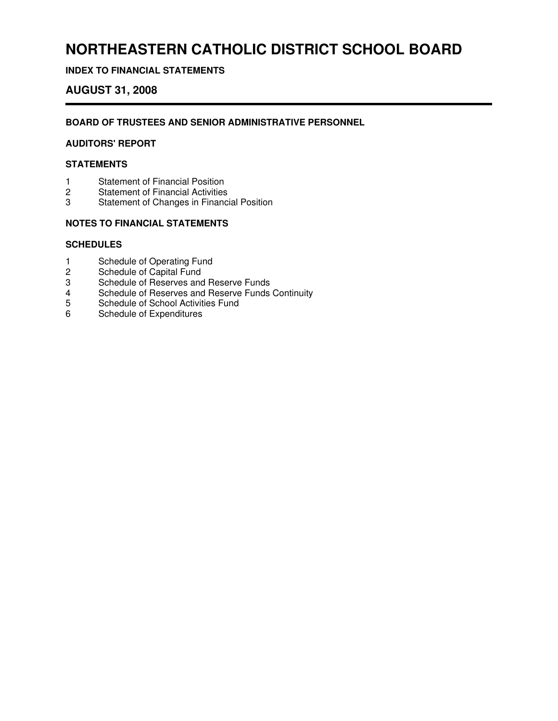## **INDEX TO FINANCIAL STATEMENTS**

## **AUGUST 31, 2008**

### **BOARD OF TRUSTEES AND SENIOR ADMINISTRATIVE PERSONNEL**

## **AUDITORS' REPORT**

### **STATEMENTS**

- 1 Statement of Financial Position<br>2 Statement of Financial Activities
- **Statement of Financial Activities**
- 3 Statement of Changes in Financial Position

### **NOTES TO FINANCIAL STATEMENTS**

#### **SCHEDULES**

- 1 Schedule of Operating Fund
- 2 Schedule of Capital Fund
- 3 Schedule of Reserves and Reserve Funds<br>4 Schedule of Reserves and Reserve Funds
- 4 Schedule of Reserves and Reserve Funds Continuity<br>5 Schedule of School Activities Fund
- 5 Schedule of School Activities Fund<br>6 Schedule of Expenditures
- Schedule of Expenditures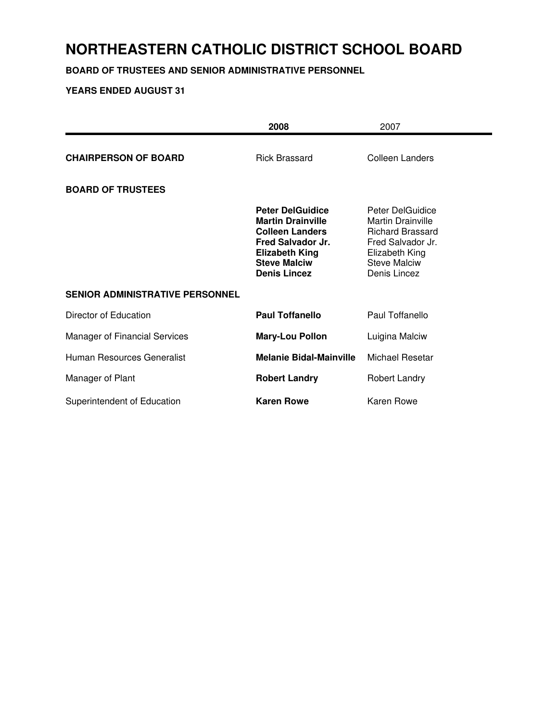## **BOARD OF TRUSTEES AND SENIOR ADMINISTRATIVE PERSONNEL**

|                                        | 2008                                                                                                                                                                      | 2007                                                                                                                                                  |
|----------------------------------------|---------------------------------------------------------------------------------------------------------------------------------------------------------------------------|-------------------------------------------------------------------------------------------------------------------------------------------------------|
| <b>CHAIRPERSON OF BOARD</b>            | <b>Rick Brassard</b>                                                                                                                                                      | Colleen Landers                                                                                                                                       |
| <b>BOARD OF TRUSTEES</b>               |                                                                                                                                                                           |                                                                                                                                                       |
|                                        | <b>Peter DelGuidice</b><br><b>Martin Drainville</b><br><b>Colleen Landers</b><br>Fred Salvador Jr.<br><b>Elizabeth King</b><br><b>Steve Malciw</b><br><b>Denis Lincez</b> | Peter DelGuidice<br><b>Martin Drainville</b><br><b>Richard Brassard</b><br>Fred Salvador Jr.<br>Elizabeth King<br><b>Steve Malciw</b><br>Denis Lincez |
| <b>SENIOR ADMINISTRATIVE PERSONNEL</b> |                                                                                                                                                                           |                                                                                                                                                       |
| Director of Education                  | <b>Paul Toffanello</b>                                                                                                                                                    | Paul Toffanello                                                                                                                                       |
| Manager of Financial Services          | <b>Mary-Lou Pollon</b>                                                                                                                                                    | Luigina Malciw                                                                                                                                        |
| Human Resources Generalist             | <b>Melanie Bidal-Mainville</b>                                                                                                                                            | <b>Michael Resetar</b>                                                                                                                                |
| Manager of Plant                       | <b>Robert Landry</b>                                                                                                                                                      | Robert Landry                                                                                                                                         |
| Superintendent of Education            | <b>Karen Rowe</b>                                                                                                                                                         | <b>Karen Rowe</b>                                                                                                                                     |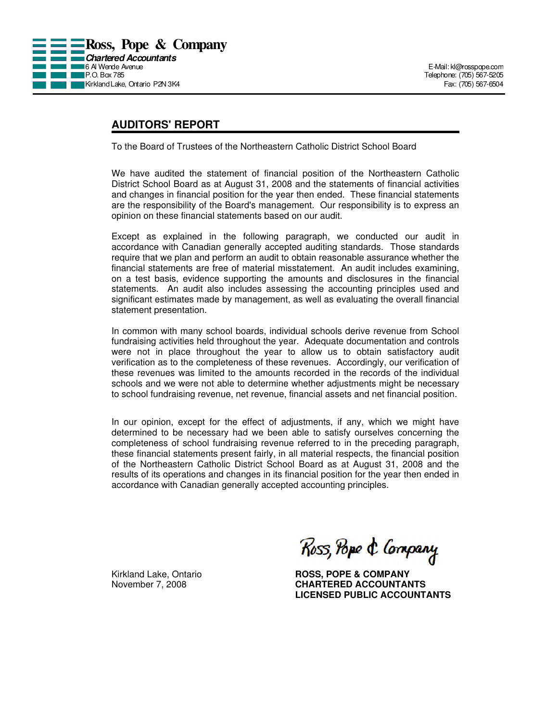

## **AUDITORS' REPORT**

To the Board of Trustees of the Northeastern Catholic District School Board

We have audited the statement of financial position of the Northeastern Catholic District School Board as at August 31, 2008 and the statements of financial activities and changes in financial position for the year then ended. These financial statements are the responsibility of the Board's management. Our responsibility is to express an opinion on these financial statements based on our audit.

Except as explained in the following paragraph, we conducted our audit in accordance with Canadian generally accepted auditing standards. Those standards require that we plan and perform an audit to obtain reasonable assurance whether the financial statements are free of material misstatement. An audit includes examining, on a test basis, evidence supporting the amounts and disclosures in the financial statements. An audit also includes assessing the accounting principles used and significant estimates made by management, as well as evaluating the overall financial statement presentation.

In common with many school boards, individual schools derive revenue from School fundraising activities held throughout the year. Adequate documentation and controls were not in place throughout the year to allow us to obtain satisfactory audit verification as to the completeness of these revenues. Accordingly, our verification of these revenues was limited to the amounts recorded in the records of the individual schools and we were not able to determine whether adjustments might be necessary to school fundraising revenue, net revenue, financial assets and net financial position.

In our opinion, except for the effect of adjustments, if any, which we might have determined to be necessary had we been able to satisfy ourselves concerning the completeness of school fundraising revenue referred to in the preceding paragraph, these financial statements present fairly, in all material respects, the financial position of the Northeastern Catholic District School Board as at August 31, 2008 and the results of its operations and changes in its financial position for the year then ended in accordance with Canadian generally accepted accounting principles.

Ross, Pope & Company

Kirkland Lake, Ontario **ROSS, POPE & COMPANY** November 7, 2008 **CHARTERED ACCOUNTANTS LICENSED PUBLIC ACCOUNTANTS**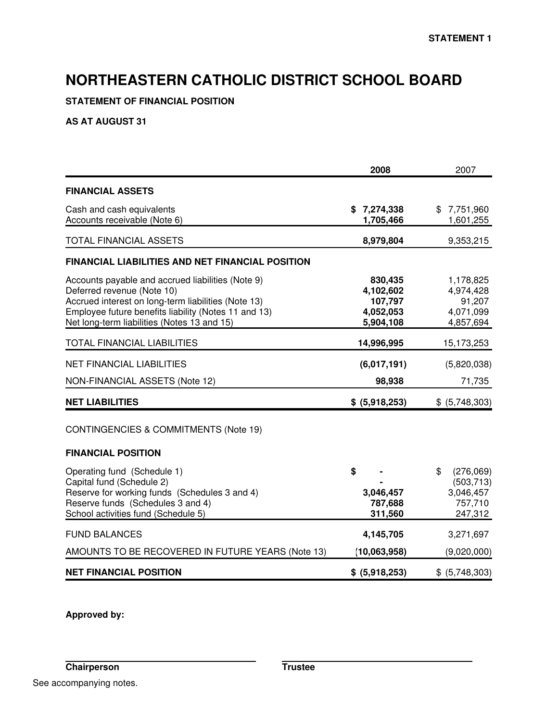## **STATEMENT OF FINANCIAL POSITION**

## **AS AT AUGUST 31**

|                                                                                                                                                                                                                                               | 2008                                                      | 2007                                                             |
|-----------------------------------------------------------------------------------------------------------------------------------------------------------------------------------------------------------------------------------------------|-----------------------------------------------------------|------------------------------------------------------------------|
| <b>FINANCIAL ASSETS</b>                                                                                                                                                                                                                       |                                                           |                                                                  |
| Cash and cash equivalents<br>Accounts receivable (Note 6)                                                                                                                                                                                     | \$7,274,338<br>1,705,466                                  | \$7,751,960<br>1,601,255                                         |
| TOTAL FINANCIAL ASSETS                                                                                                                                                                                                                        | 8,979,804                                                 | 9,353,215                                                        |
| <b>FINANCIAL LIABILITIES AND NET FINANCIAL POSITION</b>                                                                                                                                                                                       |                                                           |                                                                  |
| Accounts payable and accrued liabilities (Note 9)<br>Deferred revenue (Note 10)<br>Accrued interest on long-term liabilities (Note 13)<br>Employee future benefits liability (Notes 11 and 13)<br>Net long-term liabilities (Notes 13 and 15) | 830,435<br>4,102,602<br>107,797<br>4,052,053<br>5,904,108 | 1,178,825<br>4,974,428<br>91,207<br>4,071,099<br>4,857,694       |
| TOTAL FINANCIAL LIABILITIES                                                                                                                                                                                                                   | 14,996,995                                                | 15,173,253                                                       |
| <b>NET FINANCIAL LIABILITIES</b>                                                                                                                                                                                                              | (6,017,191)                                               | (5,820,038)                                                      |
| NON-FINANCIAL ASSETS (Note 12)                                                                                                                                                                                                                | 98,938                                                    | 71,735                                                           |
| <b>NET LIABILITIES</b>                                                                                                                                                                                                                        | \$ (5,918,253)                                            | \$ (5,748,303)                                                   |
| CONTINGENCIES & COMMITMENTS (Note 19)                                                                                                                                                                                                         |                                                           |                                                                  |
| <b>FINANCIAL POSITION</b>                                                                                                                                                                                                                     |                                                           |                                                                  |
| Operating fund (Schedule 1)<br>Capital fund (Schedule 2)<br>Reserve for working funds (Schedules 3 and 4)<br>Reserve funds (Schedules 3 and 4)<br>School activities fund (Schedule 5)                                                         | \$<br>3,046,457<br>787,688<br>311,560                     | \$<br>(276,069)<br>(503, 713)<br>3,046,457<br>757,710<br>247,312 |
| <b>FUND BALANCES</b>                                                                                                                                                                                                                          | 4,145,705                                                 | 3,271,697                                                        |
| AMOUNTS TO BE RECOVERED IN FUTURE YEARS (Note 13)                                                                                                                                                                                             | (10,063,958)                                              | (9,020,000)                                                      |
| <b>NET FINANCIAL POSITION</b>                                                                                                                                                                                                                 | \$ (5,918,253)                                            | \$ (5,748,303)                                                   |

**Approved by:**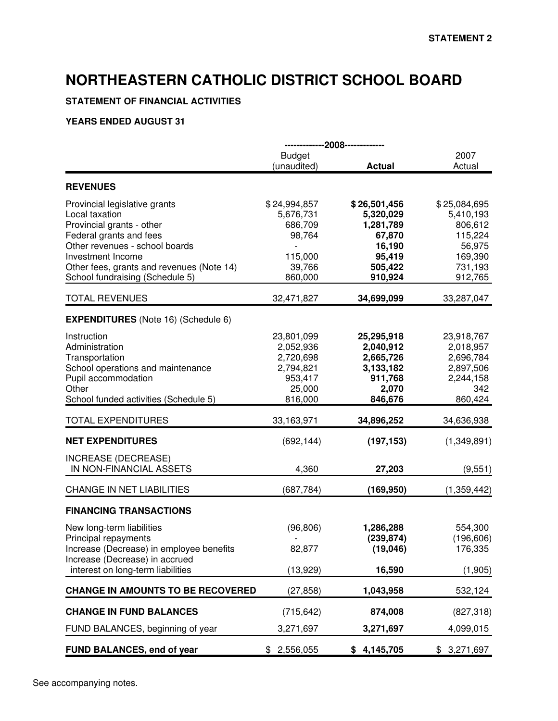## **STATEMENT OF FINANCIAL ACTIVITIES**

|                                                                                                                                                                                                                                                |                                                                                   | -------------2008-------------                                                             |                                                                                            |
|------------------------------------------------------------------------------------------------------------------------------------------------------------------------------------------------------------------------------------------------|-----------------------------------------------------------------------------------|--------------------------------------------------------------------------------------------|--------------------------------------------------------------------------------------------|
|                                                                                                                                                                                                                                                | <b>Budget</b><br>(unaudited)                                                      | <b>Actual</b>                                                                              | 2007<br>Actual                                                                             |
| <b>REVENUES</b>                                                                                                                                                                                                                                |                                                                                   |                                                                                            |                                                                                            |
| Provincial legislative grants<br>Local taxation<br>Provincial grants - other<br>Federal grants and fees<br>Other revenues - school boards<br>Investment Income<br>Other fees, grants and revenues (Note 14)<br>School fundraising (Schedule 5) | \$24,994,857<br>5,676,731<br>686,709<br>98,764<br>115,000<br>39,766<br>860,000    | \$26,501,456<br>5,320,029<br>1,281,789<br>67,870<br>16,190<br>95,419<br>505,422<br>910,924 | \$25,084,695<br>5,410,193<br>806,612<br>115,224<br>56,975<br>169,390<br>731,193<br>912,765 |
| <b>TOTAL REVENUES</b>                                                                                                                                                                                                                          | 32,471,827                                                                        | 34,699,099                                                                                 | 33,287,047                                                                                 |
| <b>EXPENDITURES</b> (Note 16) (Schedule 6)                                                                                                                                                                                                     |                                                                                   |                                                                                            |                                                                                            |
| Instruction<br>Administration<br>Transportation<br>School operations and maintenance<br>Pupil accommodation<br>Other<br>School funded activities (Schedule 5)                                                                                  | 23,801,099<br>2,052,936<br>2,720,698<br>2,794,821<br>953,417<br>25,000<br>816,000 | 25,295,918<br>2,040,912<br>2,665,726<br>3,133,182<br>911,768<br>2,070<br>846,676           | 23,918,767<br>2,018,957<br>2,696,784<br>2,897,506<br>2,244,158<br>342<br>860,424           |
| <b>TOTAL EXPENDITURES</b>                                                                                                                                                                                                                      | 33,163,971                                                                        | 34,896,252                                                                                 | 34,636,938                                                                                 |
| <b>NET EXPENDITURES</b>                                                                                                                                                                                                                        | (692, 144)                                                                        | (197, 153)                                                                                 | (1,349,891)                                                                                |
| INCREASE (DECREASE)<br>IN NON-FINANCIAL ASSETS                                                                                                                                                                                                 | 4,360                                                                             | 27,203                                                                                     | (9, 551)                                                                                   |
| <b>CHANGE IN NET LIABILITIES</b>                                                                                                                                                                                                               | (687, 784)                                                                        | (169, 950)                                                                                 | (1,359,442)                                                                                |
| <b>FINANCING TRANSACTIONS</b>                                                                                                                                                                                                                  |                                                                                   |                                                                                            |                                                                                            |
| New long-term liabilities<br>Principal repayments<br>Increase (Decrease) in employee benefits<br>Increase (Decrease) in accrued<br>interest on long-term liabilities                                                                           | (96, 806)<br>82,877<br>(13,929)                                                   | 1,286,288<br>(239, 874)<br>(19,046)<br>16,590                                              | 554,300<br>(196, 606)<br>176,335<br>(1,905)                                                |
| <b>CHANGE IN AMOUNTS TO BE RECOVERED</b>                                                                                                                                                                                                       | (27, 858)                                                                         | 1,043,958                                                                                  | 532,124                                                                                    |
| <b>CHANGE IN FUND BALANCES</b>                                                                                                                                                                                                                 | (715, 642)                                                                        | 874,008                                                                                    | (827, 318)                                                                                 |
| FUND BALANCES, beginning of year                                                                                                                                                                                                               | 3,271,697                                                                         | 3,271,697                                                                                  | 4,099,015                                                                                  |
| <b>FUND BALANCES, end of year</b>                                                                                                                                                                                                              | 2,556,055<br>\$.                                                                  | \$4,145,705                                                                                | \$3,271,697                                                                                |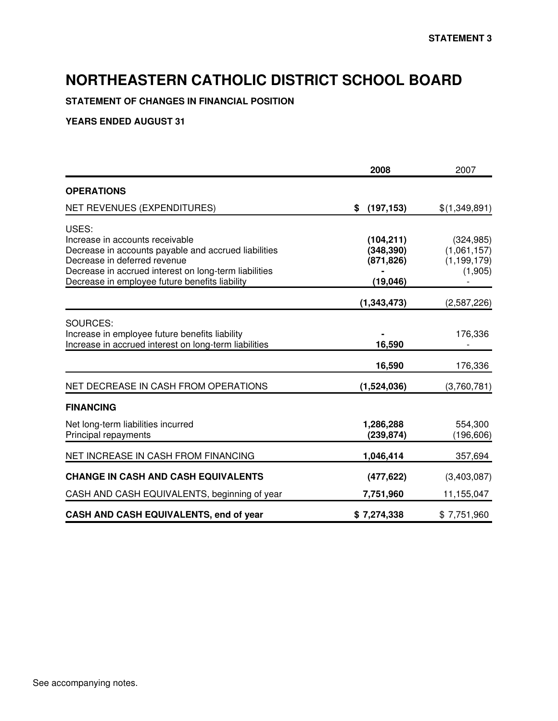## **STATEMENT OF CHANGES IN FINANCIAL POSITION**

|                                                                                                                                                                                                                                             | 2008                                                | 2007                                                  |
|---------------------------------------------------------------------------------------------------------------------------------------------------------------------------------------------------------------------------------------------|-----------------------------------------------------|-------------------------------------------------------|
| <b>OPERATIONS</b>                                                                                                                                                                                                                           |                                                     |                                                       |
| NET REVENUES (EXPENDITURES)                                                                                                                                                                                                                 | (197, 153)<br>\$                                    | \$(1,349,891)                                         |
| USES:<br>Increase in accounts receivable<br>Decrease in accounts payable and accrued liabilities<br>Decrease in deferred revenue<br>Decrease in accrued interest on long-term liabilities<br>Decrease in employee future benefits liability | (104, 211)<br>(348, 390)<br>(871, 826)<br>(19, 046) | (324, 985)<br>(1,061,157)<br>(1, 199, 179)<br>(1,905) |
|                                                                                                                                                                                                                                             | (1, 343, 473)                                       | (2,587,226)                                           |
| SOURCES:<br>Increase in employee future benefits liability<br>Increase in accrued interest on long-term liabilities                                                                                                                         | 16,590                                              | 176,336                                               |
| NET DECREASE IN CASH FROM OPERATIONS                                                                                                                                                                                                        | 16,590<br>(1,524,036)                               | 176,336<br>(3,760,781)                                |
| <b>FINANCING</b>                                                                                                                                                                                                                            |                                                     |                                                       |
| Net long-term liabilities incurred<br>Principal repayments                                                                                                                                                                                  | 1,286,288<br>(239, 874)                             | 554,300<br>(196, 606)                                 |
| NET INCREASE IN CASH FROM FINANCING                                                                                                                                                                                                         | 1,046,414                                           | 357,694                                               |
| <b>CHANGE IN CASH AND CASH EQUIVALENTS</b>                                                                                                                                                                                                  | (477, 622)                                          | (3,403,087)                                           |
| CASH AND CASH EQUIVALENTS, beginning of year                                                                                                                                                                                                | 7,751,960                                           | 11,155,047                                            |
| CASH AND CASH EQUIVALENTS, end of year                                                                                                                                                                                                      | \$7,274,338                                         | \$7,751,960                                           |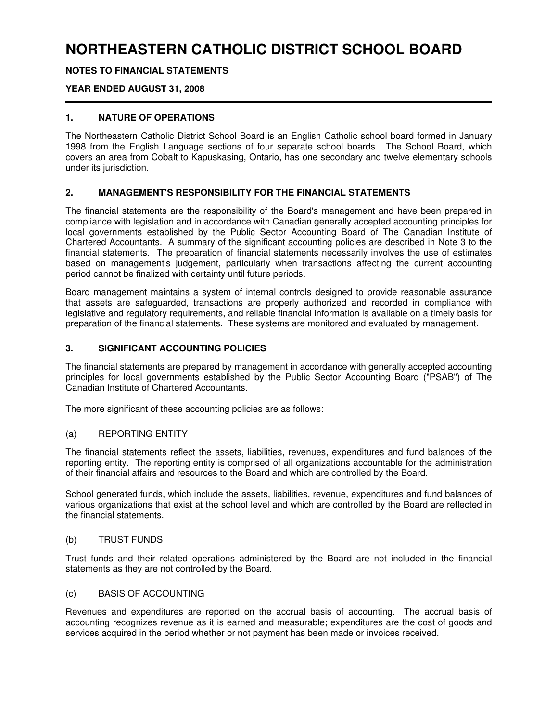## **NOTES TO FINANCIAL STATEMENTS**

## **YEAR ENDED AUGUST 31, 2008**

### **1. NATURE OF OPERATIONS**

The Northeastern Catholic District School Board is an English Catholic school board formed in January 1998 from the English Language sections of four separate school boards. The School Board, which covers an area from Cobalt to Kapuskasing, Ontario, has one secondary and twelve elementary schools under its jurisdiction.

### **2. MANAGEMENT'S RESPONSIBILITY FOR THE FINANCIAL STATEMENTS**

The financial statements are the responsibility of the Board's management and have been prepared in compliance with legislation and in accordance with Canadian generally accepted accounting principles for local governments established by the Public Sector Accounting Board of The Canadian Institute of Chartered Accountants. A summary of the significant accounting policies are described in Note 3 to the financial statements. The preparation of financial statements necessarily involves the use of estimates based on management's judgement, particularly when transactions affecting the current accounting period cannot be finalized with certainty until future periods.

Board management maintains a system of internal controls designed to provide reasonable assurance that assets are safeguarded, transactions are properly authorized and recorded in compliance with legislative and regulatory requirements, and reliable financial information is available on a timely basis for preparation of the financial statements. These systems are monitored and evaluated by management.

### **3. SIGNIFICANT ACCOUNTING POLICIES**

The financial statements are prepared by management in accordance with generally accepted accounting principles for local governments established by the Public Sector Accounting Board ("PSAB") of The Canadian Institute of Chartered Accountants.

The more significant of these accounting policies are as follows:

### (a) REPORTING ENTITY

The financial statements reflect the assets, liabilities, revenues, expenditures and fund balances of the reporting entity. The reporting entity is comprised of all organizations accountable for the administration of their financial affairs and resources to the Board and which are controlled by the Board.

School generated funds, which include the assets, liabilities, revenue, expenditures and fund balances of various organizations that exist at the school level and which are controlled by the Board are reflected in the financial statements.

## (b) TRUST FUNDS

Trust funds and their related operations administered by the Board are not included in the financial statements as they are not controlled by the Board.

### (c) BASIS OF ACCOUNTING

Revenues and expenditures are reported on the accrual basis of accounting. The accrual basis of accounting recognizes revenue as it is earned and measurable; expenditures are the cost of goods and services acquired in the period whether or not payment has been made or invoices received.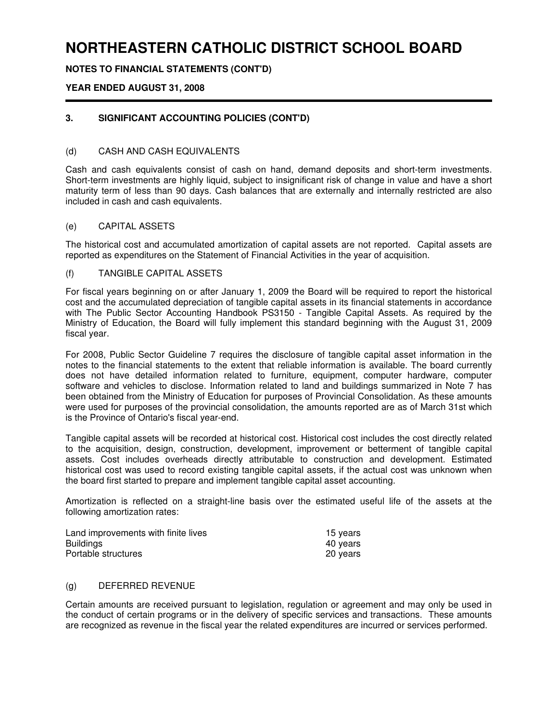**NOTES TO FINANCIAL STATEMENTS (CONT'D)**

### **YEAR ENDED AUGUST 31, 2008**

## **3. SIGNIFICANT ACCOUNTING POLICIES (CONT'D)**

#### (d) CASH AND CASH EQUIVALENTS

Cash and cash equivalents consist of cash on hand, demand deposits and short-term investments. Short-term investments are highly liquid, subject to insignificant risk of change in value and have a short maturity term of less than 90 days. Cash balances that are externally and internally restricted are also included in cash and cash equivalents.

#### (e) CAPITAL ASSETS

The historical cost and accumulated amortization of capital assets are not reported. Capital assets are reported as expenditures on the Statement of Financial Activities in the year of acquisition.

#### (f) TANGIBLE CAPITAL ASSETS

For fiscal years beginning on or after January 1, 2009 the Board will be required to report the historical cost and the accumulated depreciation of tangible capital assets in its financial statements in accordance with The Public Sector Accounting Handbook PS3150 - Tangible Capital Assets. As required by the Ministry of Education, the Board will fully implement this standard beginning with the August 31, 2009 fiscal year.

For 2008, Public Sector Guideline 7 requires the disclosure of tangible capital asset information in the notes to the financial statements to the extent that reliable information is available. The board currently does not have detailed information related to furniture, equipment, computer hardware, computer software and vehicles to disclose. Information related to land and buildings summarized in Note 7 has been obtained from the Ministry of Education for purposes of Provincial Consolidation. As these amounts were used for purposes of the provincial consolidation, the amounts reported are as of March 31st which is the Province of Ontario's fiscal year-end.

Tangible capital assets will be recorded at historical cost. Historical cost includes the cost directly related to the acquisition, design, construction, development, improvement or betterment of tangible capital assets. Cost includes overheads directly attributable to construction and development. Estimated historical cost was used to record existing tangible capital assets, if the actual cost was unknown when the board first started to prepare and implement tangible capital asset accounting.

Amortization is reflected on a straight-line basis over the estimated useful life of the assets at the following amortization rates:

| Land improvements with finite lives | 15 years |
|-------------------------------------|----------|
| <b>Buildings</b>                    | 40 years |
| Portable structures                 | 20 years |

#### (g) DEFERRED REVENUE

Certain amounts are received pursuant to legislation, regulation or agreement and may only be used in the conduct of certain programs or in the delivery of specific services and transactions. These amounts are recognized as revenue in the fiscal year the related expenditures are incurred or services performed.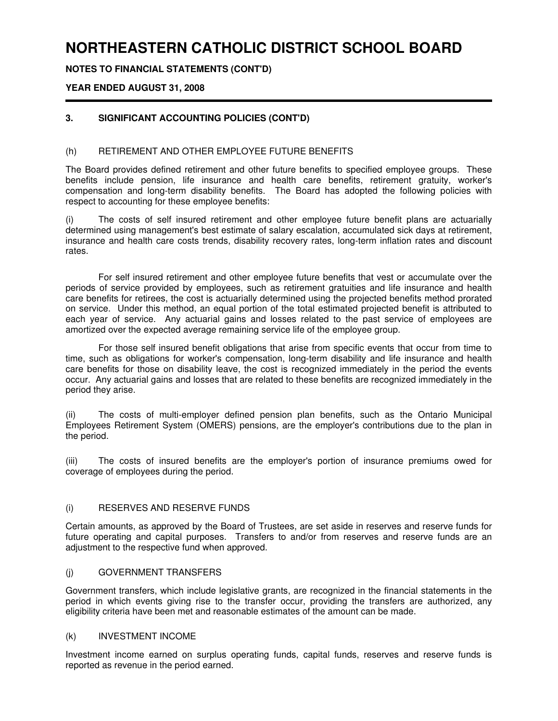**NOTES TO FINANCIAL STATEMENTS (CONT'D)**

### **YEAR ENDED AUGUST 31, 2008**

## **3. SIGNIFICANT ACCOUNTING POLICIES (CONT'D)**

### (h) RETIREMENT AND OTHER EMPLOYEE FUTURE BENEFITS

The Board provides defined retirement and other future benefits to specified employee groups. These benefits include pension, life insurance and health care benefits, retirement gratuity, worker's compensation and long-term disability benefits. The Board has adopted the following policies with respect to accounting for these employee benefits:

(i) The costs of self insured retirement and other employee future benefit plans are actuarially determined using management's best estimate of salary escalation, accumulated sick days at retirement, insurance and health care costs trends, disability recovery rates, long-term inflation rates and discount rates.

For self insured retirement and other employee future benefits that vest or accumulate over the periods of service provided by employees, such as retirement gratuities and life insurance and health care benefits for retirees, the cost is actuarially determined using the projected benefits method prorated on service. Under this method, an equal portion of the total estimated projected benefit is attributed to each year of service. Any actuarial gains and losses related to the past service of employees are amortized over the expected average remaining service life of the employee group.

For those self insured benefit obligations that arise from specific events that occur from time to time, such as obligations for worker's compensation, long-term disability and life insurance and health care benefits for those on disability leave, the cost is recognized immediately in the period the events occur. Any actuarial gains and losses that are related to these benefits are recognized immediately in the period they arise.

(ii) The costs of multi-employer defined pension plan benefits, such as the Ontario Municipal Employees Retirement System (OMERS) pensions, are the employer's contributions due to the plan in the period.

(iii) The costs of insured benefits are the employer's portion of insurance premiums owed for coverage of employees during the period.

#### (i) RESERVES AND RESERVE FUNDS

Certain amounts, as approved by the Board of Trustees, are set aside in reserves and reserve funds for future operating and capital purposes. Transfers to and/or from reserves and reserve funds are an adjustment to the respective fund when approved.

#### (j) GOVERNMENT TRANSFERS

Government transfers, which include legislative grants, are recognized in the financial statements in the period in which events giving rise to the transfer occur, providing the transfers are authorized, any eligibility criteria have been met and reasonable estimates of the amount can be made.

#### (k) INVESTMENT INCOME

Investment income earned on surplus operating funds, capital funds, reserves and reserve funds is reported as revenue in the period earned.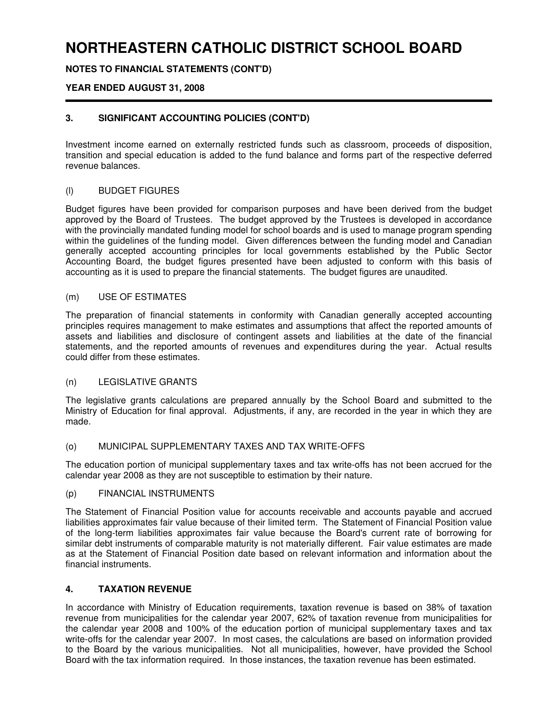## **NOTES TO FINANCIAL STATEMENTS (CONT'D)**

### **YEAR ENDED AUGUST 31, 2008**

## **3. SIGNIFICANT ACCOUNTING POLICIES (CONT'D)**

Investment income earned on externally restricted funds such as classroom, proceeds of disposition, transition and special education is added to the fund balance and forms part of the respective deferred revenue balances.

### (l) BUDGET FIGURES

Budget figures have been provided for comparison purposes and have been derived from the budget approved by the Board of Trustees. The budget approved by the Trustees is developed in accordance with the provincially mandated funding model for school boards and is used to manage program spending within the guidelines of the funding model. Given differences between the funding model and Canadian generally accepted accounting principles for local governments established by the Public Sector Accounting Board, the budget figures presented have been adjusted to conform with this basis of accounting as it is used to prepare the financial statements. The budget figures are unaudited.

#### (m) USE OF ESTIMATES

The preparation of financial statements in conformity with Canadian generally accepted accounting principles requires management to make estimates and assumptions that affect the reported amounts of assets and liabilities and disclosure of contingent assets and liabilities at the date of the financial statements, and the reported amounts of revenues and expenditures during the year. Actual results could differ from these estimates.

#### (n) LEGISLATIVE GRANTS

The legislative grants calculations are prepared annually by the School Board and submitted to the Ministry of Education for final approval. Adjustments, if any, are recorded in the year in which they are made.

### (o) MUNICIPAL SUPPLEMENTARY TAXES AND TAX WRITE-OFFS

The education portion of municipal supplementary taxes and tax write-offs has not been accrued for the calendar year 2008 as they are not susceptible to estimation by their nature.

#### (p) FINANCIAL INSTRUMENTS

The Statement of Financial Position value for accounts receivable and accounts payable and accrued liabilities approximates fair value because of their limited term. The Statement of Financial Position value of the long-term liabilities approximates fair value because the Board's current rate of borrowing for similar debt instruments of comparable maturity is not materially different. Fair value estimates are made as at the Statement of Financial Position date based on relevant information and information about the financial instruments.

#### **4. TAXATION REVENUE**

In accordance with Ministry of Education requirements, taxation revenue is based on 38% of taxation revenue from municipalities for the calendar year 2007, 62% of taxation revenue from municipalities for the calendar year 2008 and 100% of the education portion of municipal supplementary taxes and tax write-offs for the calendar year 2007. In most cases, the calculations are based on information provided to the Board by the various municipalities. Not all municipalities, however, have provided the School Board with the tax information required. In those instances, the taxation revenue has been estimated.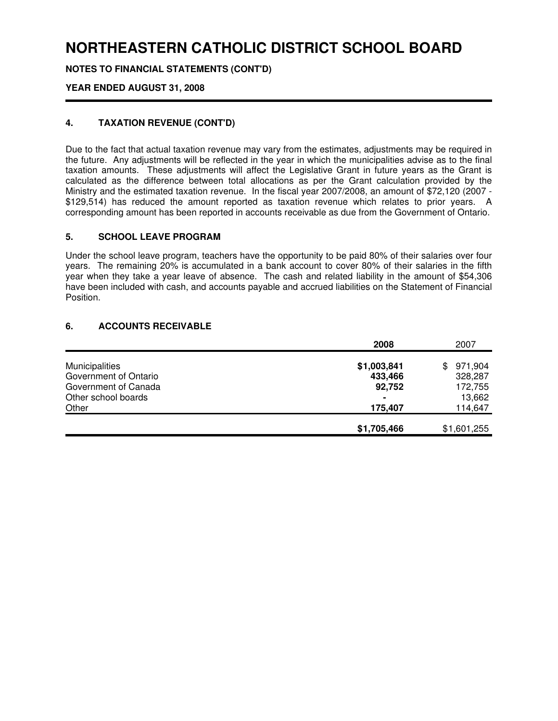**NOTES TO FINANCIAL STATEMENTS (CONT'D)**

## **YEAR ENDED AUGUST 31, 2008**

## **4. TAXATION REVENUE (CONT'D)**

Due to the fact that actual taxation revenue may vary from the estimates, adjustments may be required in the future. Any adjustments will be reflected in the year in which the municipalities advise as to the final taxation amounts. These adjustments will affect the Legislative Grant in future years as the Grant is calculated as the difference between total allocations as per the Grant calculation provided by the Ministry and the estimated taxation revenue. In the fiscal year 2007/2008, an amount of \$72,120 (2007 - \$129,514) has reduced the amount reported as taxation revenue which relates to prior years. A corresponding amount has been reported in accounts receivable as due from the Government of Ontario.

### **5. SCHOOL LEAVE PROGRAM**

Under the school leave program, teachers have the opportunity to be paid 80% of their salaries over four years. The remaining 20% is accumulated in a bank account to cover 80% of their salaries in the fifth year when they take a year leave of absence. The cash and related liability in the amount of \$54,306 have been included with cash, and accounts payable and accrued liabilities on the Statement of Financial Position.

### **6. ACCOUNTS RECEIVABLE**

|                       | 2008           | 2007          |
|-----------------------|----------------|---------------|
|                       |                |               |
| Municipalities        | \$1,003,841    | 971,904<br>\$ |
| Government of Ontario | 433,466        | 328,287       |
| Government of Canada  | 92,752         | 172,755       |
| Other school boards   | $\blacksquare$ | 13,662        |
| Other                 | 175,407        | 114,647       |
|                       |                |               |
|                       | \$1,705,466    | \$1,601,255   |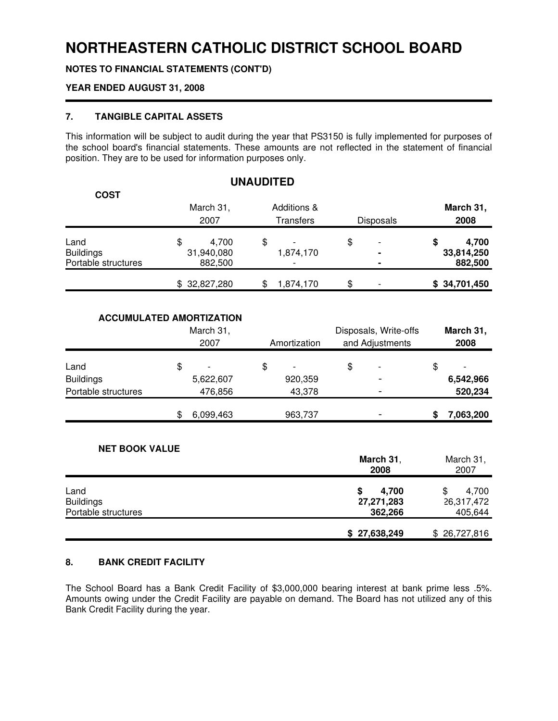**NOTES TO FINANCIAL STATEMENTS (CONT'D)**

## **YEAR ENDED AUGUST 31, 2008**

## **7. TANGIBLE CAPITAL ASSETS**

This information will be subject to audit during the year that PS3150 is fully implemented for purposes of the school board's financial statements. These amounts are not reflected in the statement of financial position. They are to be used for information purposes only.

| <b>COST</b>                                     | March 31,<br>2007                    | Additions &<br>Transfers | <b>Disposals</b>                       | March 31,<br>2008                    |
|-------------------------------------------------|--------------------------------------|--------------------------|----------------------------------------|--------------------------------------|
| Land<br><b>Buildings</b><br>Portable structures | \$<br>4,700<br>31,940,080<br>882,500 | \$<br>1,874,170          | \$<br>$\overline{ }$<br>$\blacksquare$ | 4,700<br>\$<br>33,814,250<br>882,500 |
|                                                 | \$32,827,280                         | \$<br>1,874,170          | \$                                     | \$34,701,450                         |

#### **ACCUMULATED AMORTIZATION**

| March 31,<br>2007   |    | Amortization | Disposals, Write-offs<br>and Adjustments |         | March 31,<br>2008 |  |  |           |
|---------------------|----|--------------|------------------------------------------|---------|-------------------|--|--|-----------|
| Land                | \$ |              |                                          |         | \$                |  |  |           |
| <b>Buildings</b>    |    | 5,622,607    |                                          | 920,359 |                   |  |  | 6,542,966 |
| Portable structures |    | 476,856      |                                          | 43,378  |                   |  |  | 520,234   |
|                     | \$ | 6,099,463    |                                          | 963,737 |                   |  |  | 7,063,200 |

#### **NET BOOK VALUE**

|                     | March 31,<br>2008 | March 31,<br>2007 |  |
|---------------------|-------------------|-------------------|--|
| Land                | 4,700             | 4.700<br>\$       |  |
| <b>Buildings</b>    | 27,271,283        | 26,317,472        |  |
| Portable structures | 362,266           | 405,644           |  |
|                     | \$27,638,249      | \$26,727,816      |  |

#### **8. BANK CREDIT FACILITY**

The School Board has a Bank Credit Facility of \$3,000,000 bearing interest at bank prime less .5%. Amounts owing under the Credit Facility are payable on demand. The Board has not utilized any of this Bank Credit Facility during the year.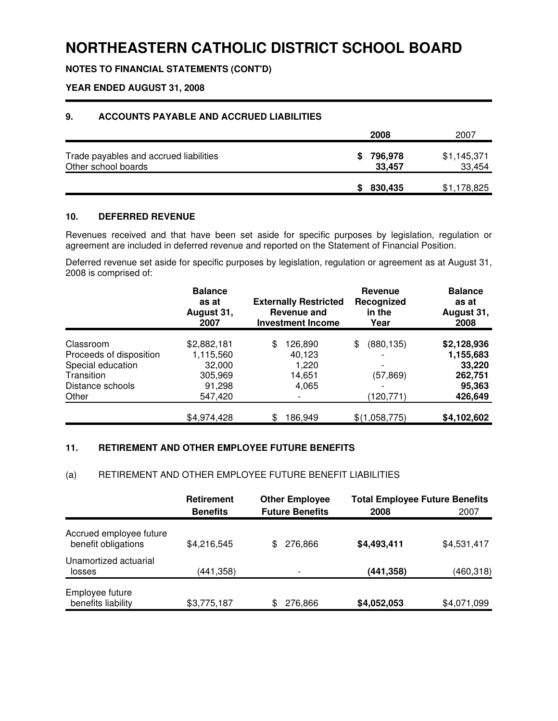**NOTES TO FINANCIAL STATEMENTS (CONT'D)**

## **YEAR ENDED AUGUST 31, 2008**

## **9. ACCOUNTS PAYABLE AND ACCRUED LIABILITIES**

|                                                               | 2008                    | 2007                  |
|---------------------------------------------------------------|-------------------------|-----------------------|
| Trade payables and accrued liabilities<br>Other school boards | 796,978<br>S.<br>33,457 | \$1,145,371<br>33,454 |
|                                                               | 830,435                 | \$1,178,825           |

### **10. DEFERRED REVENUE**

Revenues received and that have been set aside for specific purposes by legislation, regulation or agreement are included in deferred revenue and reported on the Statement of Financial Position.

Deferred revenue set aside for specific purposes by legislation, regulation or agreement as at August 31, 2008 is comprised of:

|                         | <b>Balance</b><br>as at<br>August 31,<br>2007 | <b>Externally Restricted</b><br><b>Revenue and</b><br><b>Investment Income</b> | <b>Revenue</b><br>Recognized<br>in the<br>Year | <b>Balance</b><br>as at<br>August 31,<br>2008 |
|-------------------------|-----------------------------------------------|--------------------------------------------------------------------------------|------------------------------------------------|-----------------------------------------------|
| Classroom               |                                               |                                                                                |                                                |                                               |
|                         | \$2,882,181                                   | 126,890<br>S                                                                   | (880, 135)<br>S                                | \$2,128,936                                   |
| Proceeds of disposition | 1,115,560                                     | 40,123                                                                         |                                                | 1,155,683                                     |
| Special education       | 32,000                                        | 1,220                                                                          |                                                | 33,220                                        |
| Transition              | 305,969                                       | 14,651                                                                         | (57,869)                                       | 262,751                                       |
| Distance schools        | 91,298                                        | 4,065                                                                          |                                                | 95,363                                        |
| Other                   | 547,420                                       |                                                                                | (120, 771)                                     | 426,649                                       |
|                         | \$4,974,428                                   | 186,949                                                                        | \$(1,058,775)                                  | \$4,102,602                                   |

## **11. RETIREMENT AND OTHER EMPLOYEE FUTURE BENEFITS**

#### (a) RETIREMENT AND OTHER EMPLOYEE FUTURE BENEFIT LIABILITIES

|                                                | <b>Retirement</b><br><b>Benefits</b> | <b>Other Employee</b><br><b>Future Benefits</b> | 2008        | <b>Total Employee Future Benefits</b><br>2007 |  |
|------------------------------------------------|--------------------------------------|-------------------------------------------------|-------------|-----------------------------------------------|--|
| Accrued employee future<br>benefit obligations | \$4,216,545                          | 276.866<br>\$                                   | \$4,493,411 | \$4,531,417                                   |  |
| Unamortized actuarial<br>losses                | (441,358)                            |                                                 | (441, 358)  | (460, 318)                                    |  |
| Employee future<br>benefits liability          | \$3,775,187                          | 276,866<br>\$                                   | \$4,052,053 | \$4,071,099                                   |  |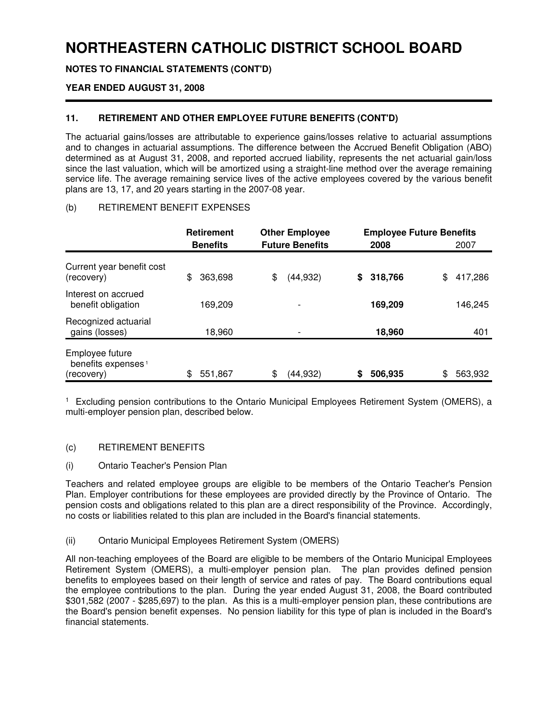**NOTES TO FINANCIAL STATEMENTS (CONT'D)**

### **YEAR ENDED AUGUST 31, 2008**

## **11. RETIREMENT AND OTHER EMPLOYEE FUTURE BENEFITS (CONT'D)**

The actuarial gains/losses are attributable to experience gains/losses relative to actuarial assumptions and to changes in actuarial assumptions. The difference between the Accrued Benefit Obligation (ABO) determined as at August 31, 2008, and reported accrued liability, represents the net actuarial gain/loss since the last valuation, which will be amortized using a straight-line method over the average remaining service life. The average remaining service lives of the active employees covered by the various benefit plans are 13, 17, and 20 years starting in the 2007-08 year.

#### (b) RETIREMENT BENEFIT EXPENSES

|                                                                 | <b>Retirement</b> | <b>Other Employee</b>  | <b>Employee Future Benefits</b> |               |
|-----------------------------------------------------------------|-------------------|------------------------|---------------------------------|---------------|
|                                                                 | <b>Benefits</b>   | <b>Future Benefits</b> | 2008                            | 2007          |
| Current year benefit cost<br>(recovery)                         | 363,698<br>\$     | (44, 932)<br>\$        | 318,766<br>\$                   | \$<br>417,286 |
| Interest on accrued<br>benefit obligation                       | 169.209           |                        | 169,209                         | 146,245       |
| Recognized actuarial<br>gains (losses)                          | 18.960            |                        | 18,960                          | 401           |
| Employee future<br>benefits expenses <sup>1</sup><br>(recovery) | 551,867           | \$<br>(44,932)         | 506,935                         | \$<br>563,932 |

1 Excluding pension contributions to the Ontario Municipal Employees Retirement System (OMERS), a multi-employer pension plan, described below.

#### (c) RETIREMENT BENEFITS

#### (i) Ontario Teacher's Pension Plan

Teachers and related employee groups are eligible to be members of the Ontario Teacher's Pension Plan. Employer contributions for these employees are provided directly by the Province of Ontario. The pension costs and obligations related to this plan are a direct responsibility of the Province. Accordingly, no costs or liabilities related to this plan are included in the Board's financial statements.

#### (ii) Ontario Municipal Employees Retirement System (OMERS)

All non-teaching employees of the Board are eligible to be members of the Ontario Municipal Employees Retirement System (OMERS), a multi-employer pension plan. The plan provides defined pension benefits to employees based on their length of service and rates of pay. The Board contributions equal the employee contributions to the plan. During the year ended August 31, 2008, the Board contributed \$301,582 (2007 - \$285,697) to the plan. As this is a multi-employer pension plan, these contributions are the Board's pension benefit expenses. No pension liability for this type of plan is included in the Board's financial statements.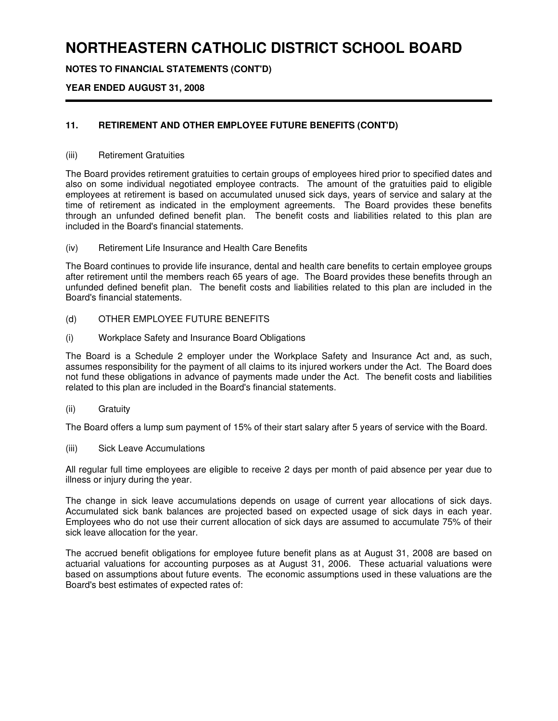**NOTES TO FINANCIAL STATEMENTS (CONT'D)**

## **YEAR ENDED AUGUST 31, 2008**

## **11. RETIREMENT AND OTHER EMPLOYEE FUTURE BENEFITS (CONT'D)**

#### (iii) Retirement Gratuities

The Board provides retirement gratuities to certain groups of employees hired prior to specified dates and also on some individual negotiated employee contracts. The amount of the gratuities paid to eligible employees at retirement is based on accumulated unused sick days, years of service and salary at the time of retirement as indicated in the employment agreements. The Board provides these benefits through an unfunded defined benefit plan. The benefit costs and liabilities related to this plan are included in the Board's financial statements.

(iv) Retirement Life Insurance and Health Care Benefits

The Board continues to provide life insurance, dental and health care benefits to certain employee groups after retirement until the members reach 65 years of age. The Board provides these benefits through an unfunded defined benefit plan. The benefit costs and liabilities related to this plan are included in the Board's financial statements.

- (d) OTHER EMPLOYEE FUTURE BENEFITS
- (i) Workplace Safety and Insurance Board Obligations

The Board is a Schedule 2 employer under the Workplace Safety and Insurance Act and, as such, assumes responsibility for the payment of all claims to its injured workers under the Act. The Board does not fund these obligations in advance of payments made under the Act. The benefit costs and liabilities related to this plan are included in the Board's financial statements.

(ii) Gratuity

The Board offers a lump sum payment of 15% of their start salary after 5 years of service with the Board.

(iii) Sick Leave Accumulations

All regular full time employees are eligible to receive 2 days per month of paid absence per year due to illness or injury during the year.

The change in sick leave accumulations depends on usage of current year allocations of sick days. Accumulated sick bank balances are projected based on expected usage of sick days in each year. Employees who do not use their current allocation of sick days are assumed to accumulate 75% of their sick leave allocation for the year.

The accrued benefit obligations for employee future benefit plans as at August 31, 2008 are based on actuarial valuations for accounting purposes as at August 31, 2006. These actuarial valuations were based on assumptions about future events. The economic assumptions used in these valuations are the Board's best estimates of expected rates of: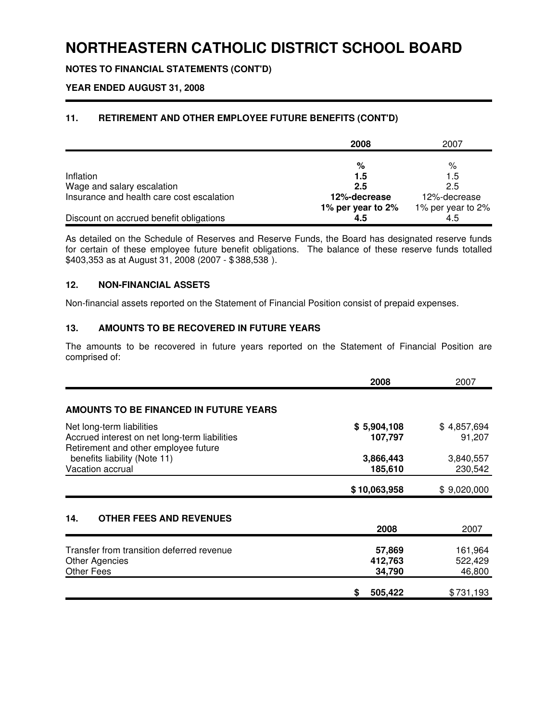**NOTES TO FINANCIAL STATEMENTS (CONT'D)**

## **YEAR ENDED AUGUST 31, 2008**

## **11. RETIREMENT AND OTHER EMPLOYEE FUTURE BENEFITS (CONT'D)**

|                                           | 2008              | 2007              |
|-------------------------------------------|-------------------|-------------------|
|                                           |                   |                   |
|                                           | %                 | %                 |
| Inflation                                 | 1.5               | 1.5               |
| Wage and salary escalation                | 2.5               | 2.5               |
| Insurance and health care cost escalation | 12%-decrease      | 12%-decrease      |
|                                           | 1% per year to 2% | 1% per year to 2% |
| Discount on accrued benefit obligations   | 4.5               | 4.5               |

As detailed on the Schedule of Reserves and Reserve Funds, the Board has designated reserve funds for certain of these employee future benefit obligations. The balance of these reserve funds totalled \$403,353 as at August 31, 2008 (2007 - \$ 388,538 ).

#### **12. NON-FINANCIAL ASSETS**

Non-financial assets reported on the Statement of Financial Position consist of prepaid expenses.

### **13. AMOUNTS TO BE RECOVERED IN FUTURE YEARS**

The amounts to be recovered in future years reported on the Statement of Financial Position are comprised of:

|                                                                                                                    | 2008                        | 2007                         |
|--------------------------------------------------------------------------------------------------------------------|-----------------------------|------------------------------|
| AMOUNTS TO BE FINANCED IN FUTURE YEARS                                                                             |                             |                              |
| Net long-term liabilities<br>Accrued interest on net long-term liabilities<br>Retirement and other employee future | \$5,904,108<br>107,797      | \$4,857,694<br>91,207        |
| benefits liability (Note 11)<br>Vacation accrual                                                                   | 3,866,443<br>185,610        | 3,840,557<br>230,542         |
|                                                                                                                    | \$10,063,958                | \$9,020,000                  |
| <b>OTHER FEES AND REVENUES</b><br>14.                                                                              | 2008                        | 2007                         |
| Transfer from transition deferred revenue<br><b>Other Agencies</b><br>Other Fees                                   | 57,869<br>412,763<br>34,790 | 161,964<br>522,429<br>46,800 |
|                                                                                                                    | 505,422                     | \$731,193                    |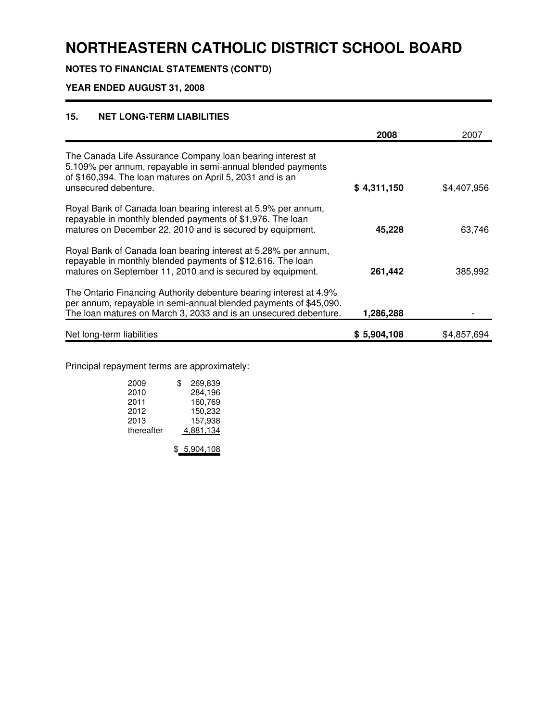**NOTES TO FINANCIAL STATEMENTS (CONT'D)**

## **YEAR ENDED AUGUST 31, 2008**

## **15. NET LONG-TERM LIABILITIES**

|                                                                                                                                                                                                                | 2008        | 2007        |
|----------------------------------------------------------------------------------------------------------------------------------------------------------------------------------------------------------------|-------------|-------------|
| The Canada Life Assurance Company loan bearing interest at<br>5.109% per annum, repayable in semi-annual blended payments<br>of \$160,394. The loan matures on April 5, 2031 and is an<br>unsecured debenture. | \$4,311,150 | \$4,407,956 |
| Royal Bank of Canada loan bearing interest at 5.9% per annum,<br>repayable in monthly blended payments of \$1,976. The loan<br>matures on December 22, 2010 and is secured by equipment.                       | 45,228      | 63,746      |
| Royal Bank of Canada loan bearing interest at 5.28% per annum,<br>repayable in monthly blended payments of \$12,616. The loan<br>matures on September 11, 2010 and is secured by equipment.                    | 261,442     | 385,992     |
| The Ontario Financing Authority debenture bearing interest at 4.9%<br>per annum, repayable in semi-annual blended payments of \$45,090.<br>The loan matures on March 3, 2033 and is an unsecured debenture.    | 1,286,288   |             |
| Net long-term liabilities                                                                                                                                                                                      | \$5,904,108 | \$4,857,694 |

Principal repayment terms are approximately:

| 2009       | \$<br>269.839 |
|------------|---------------|
| 2010       | 284,196       |
| 2011       | 160,769       |
| 2012       | 150,232       |
| 2013       | 157.938       |
| thereafter | 4.881,134     |

\$ 5,904,108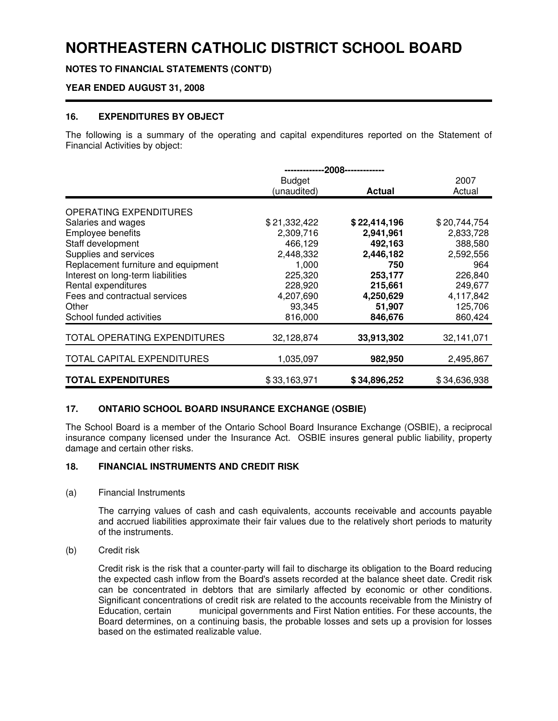**NOTES TO FINANCIAL STATEMENTS (CONT'D)**

### **YEAR ENDED AUGUST 31, 2008**

### **16. EXPENDITURES BY OBJECT**

The following is a summary of the operating and capital expenditures reported on the Statement of Financial Activities by object:

|                                     | --2008-------------          |              |              |  |  |  |  |  |
|-------------------------------------|------------------------------|--------------|--------------|--|--|--|--|--|
|                                     | <b>Budget</b>                | 2007         |              |  |  |  |  |  |
|                                     | (unaudited)<br><b>Actual</b> |              |              |  |  |  |  |  |
|                                     |                              |              |              |  |  |  |  |  |
| OPERATING EXPENDITURES              |                              |              |              |  |  |  |  |  |
| Salaries and wages                  | \$21,332,422                 | \$22,414,196 | \$20,744,754 |  |  |  |  |  |
| Employee benefits                   | 2,309,716                    | 2,941,961    | 2,833,728    |  |  |  |  |  |
| Staff development                   | 466,129                      | 492,163      | 388,580      |  |  |  |  |  |
| Supplies and services               | 2,448,332                    | 2,446,182    | 2,592,556    |  |  |  |  |  |
| Replacement furniture and equipment | 1,000                        | 750          | 964          |  |  |  |  |  |
| Interest on long-term liabilities   | 225,320                      | 253,177      | 226,840      |  |  |  |  |  |
| Rental expenditures                 | 228,920                      | 215,661      | 249,677      |  |  |  |  |  |
| Fees and contractual services       | 4,207,690                    | 4,250,629    | 4,117,842    |  |  |  |  |  |
| Other                               | 93,345                       | 51,907       | 125,706      |  |  |  |  |  |
| School funded activities            | 816,000                      | 846,676      | 860,424      |  |  |  |  |  |
| TOTAL OPERATING EXPENDITURES        |                              | 33,913,302   |              |  |  |  |  |  |
|                                     | 32,128,874                   |              | 32,141,071   |  |  |  |  |  |
| TOTAL CAPITAL EXPENDITURES          | 1,035,097                    | 982,950      | 2,495,867    |  |  |  |  |  |
| <b>TOTAL EXPENDITURES</b>           | \$33,163,971                 | \$34,896,252 | \$34,636,938 |  |  |  |  |  |

#### **17. ONTARIO SCHOOL BOARD INSURANCE EXCHANGE (OSBIE)**

The School Board is a member of the Ontario School Board Insurance Exchange (OSBIE), a reciprocal insurance company licensed under the Insurance Act. OSBIE insures general public liability, property damage and certain other risks.

### **18. FINANCIAL INSTRUMENTS AND CREDIT RISK**

(a) Financial Instruments

The carrying values of cash and cash equivalents, accounts receivable and accounts payable and accrued liabilities approximate their fair values due to the relatively short periods to maturity of the instruments.

(b) Credit risk

Credit risk is the risk that a counter-party will fail to discharge its obligation to the Board reducing the expected cash inflow from the Board's assets recorded at the balance sheet date. Credit risk can be concentrated in debtors that are similarly affected by economic or other conditions. Significant concentrations of credit risk are related to the accounts receivable from the Ministry of Education, certain municipal governments and First Nation entities. For these accounts, the Board determines, on a continuing basis, the probable losses and sets up a provision for losses based on the estimated realizable value.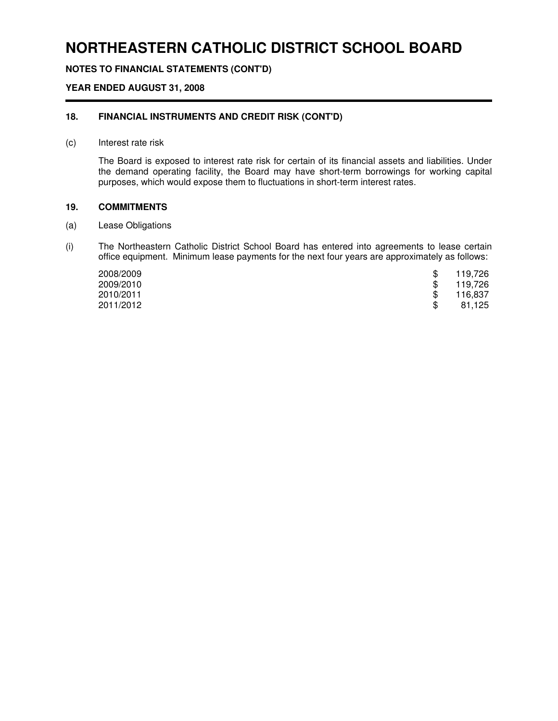## **NOTES TO FINANCIAL STATEMENTS (CONT'D)**

## **YEAR ENDED AUGUST 31, 2008**

#### **18. FINANCIAL INSTRUMENTS AND CREDIT RISK (CONT'D)**

#### (c) Interest rate risk

The Board is exposed to interest rate risk for certain of its financial assets and liabilities. Under the demand operating facility, the Board may have short-term borrowings for working capital purposes, which would expose them to fluctuations in short-term interest rates.

#### **19. COMMITMENTS**

- (a) Lease Obligations
- (i) The Northeastern Catholic District School Board has entered into agreements to lease certain office equipment. Minimum lease payments for the next four years are approximately as follows:

| 2008/2009 | 119,726 |
|-----------|---------|
| 2009/2010 | 119,726 |
| 2010/2011 | 116,837 |
| 2011/2012 | 81,125  |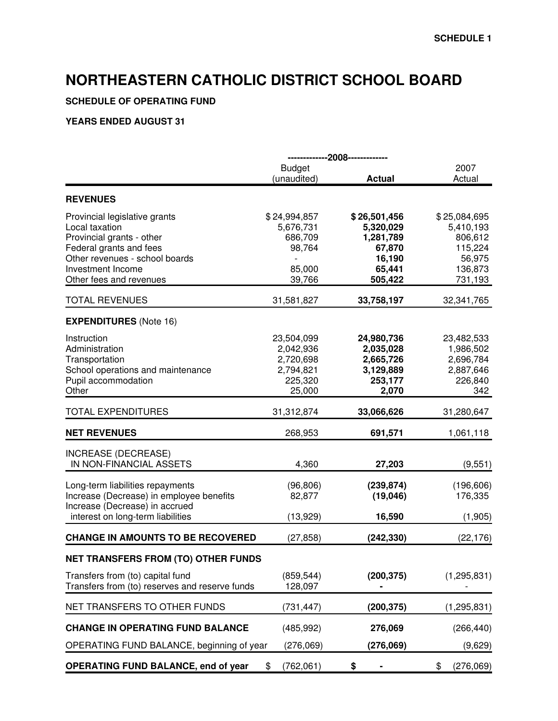## **SCHEDULE OF OPERATING FUND**

|                                                                                                                                                                                           | -------------2008-------------                                         |                                                                                 |                                                                                 |  |  |
|-------------------------------------------------------------------------------------------------------------------------------------------------------------------------------------------|------------------------------------------------------------------------|---------------------------------------------------------------------------------|---------------------------------------------------------------------------------|--|--|
|                                                                                                                                                                                           | <b>Budget</b><br>(unaudited)                                           | <b>Actual</b>                                                                   | 2007<br>Actual                                                                  |  |  |
| <b>REVENUES</b>                                                                                                                                                                           |                                                                        |                                                                                 |                                                                                 |  |  |
| Provincial legislative grants<br>Local taxation<br>Provincial grants - other<br>Federal grants and fees<br>Other revenues - school boards<br>Investment Income<br>Other fees and revenues | \$24,994,857<br>5,676,731<br>686,709<br>98,764<br>85,000<br>39,766     | \$26,501,456<br>5,320,029<br>1,281,789<br>67,870<br>16,190<br>65,441<br>505,422 | \$25,084,695<br>5,410,193<br>806,612<br>115,224<br>56,975<br>136,873<br>731,193 |  |  |
| <b>TOTAL REVENUES</b>                                                                                                                                                                     | 31,581,827                                                             | 33,758,197                                                                      | 32,341,765                                                                      |  |  |
| <b>EXPENDITURES</b> (Note 16)                                                                                                                                                             |                                                                        |                                                                                 |                                                                                 |  |  |
| Instruction<br>Administration<br>Transportation<br>School operations and maintenance<br>Pupil accommodation<br>Other                                                                      | 23,504,099<br>2,042,936<br>2,720,698<br>2,794,821<br>225,320<br>25,000 | 24,980,736<br>2,035,028<br>2,665,726<br>3,129,889<br>253,177<br>2,070           | 23,482,533<br>1,986,502<br>2,696,784<br>2,887,646<br>226,840<br>342             |  |  |
| <b>TOTAL EXPENDITURES</b>                                                                                                                                                                 | 31,312,874                                                             | 33,066,626                                                                      | 31,280,647                                                                      |  |  |
| <b>NET REVENUES</b>                                                                                                                                                                       | 268,953                                                                | 691,571                                                                         | 1,061,118                                                                       |  |  |
| INCREASE (DECREASE)<br>IN NON-FINANCIAL ASSETS                                                                                                                                            | 4,360                                                                  | 27,203                                                                          | (9,551)                                                                         |  |  |
| Long-term liabilities repayments<br>Increase (Decrease) in employee benefits<br>Increase (Decrease) in accrued                                                                            | (96, 806)<br>82,877                                                    | (239, 874)<br>(19,046)                                                          | (196, 606)<br>176,335                                                           |  |  |
| interest on long-term liabilities                                                                                                                                                         | (13, 929)                                                              | 16,590                                                                          | (1,905)                                                                         |  |  |
| <b>CHANGE IN AMOUNTS TO BE RECOVERED</b>                                                                                                                                                  | (27, 858)                                                              | (242, 330)                                                                      | (22, 176)                                                                       |  |  |
| <b>NET TRANSFERS FROM (TO) OTHER FUNDS</b>                                                                                                                                                |                                                                        |                                                                                 |                                                                                 |  |  |
| Transfers from (to) capital fund<br>Transfers from (to) reserves and reserve funds                                                                                                        | (859, 544)<br>128,097                                                  | (200, 375)                                                                      | (1, 295, 831)                                                                   |  |  |
| NET TRANSFERS TO OTHER FUNDS                                                                                                                                                              | (731, 447)                                                             | (200, 375)                                                                      | (1, 295, 831)                                                                   |  |  |
| <b>CHANGE IN OPERATING FUND BALANCE</b>                                                                                                                                                   | (485, 992)                                                             | 276,069                                                                         | (266, 440)                                                                      |  |  |
| OPERATING FUND BALANCE, beginning of year                                                                                                                                                 | (276,069)                                                              | (276,069)                                                                       | (9,629)                                                                         |  |  |
| <b>OPERATING FUND BALANCE, end of year</b>                                                                                                                                                | \$<br>(762,061)                                                        | \$                                                                              | \$<br>(276,069)                                                                 |  |  |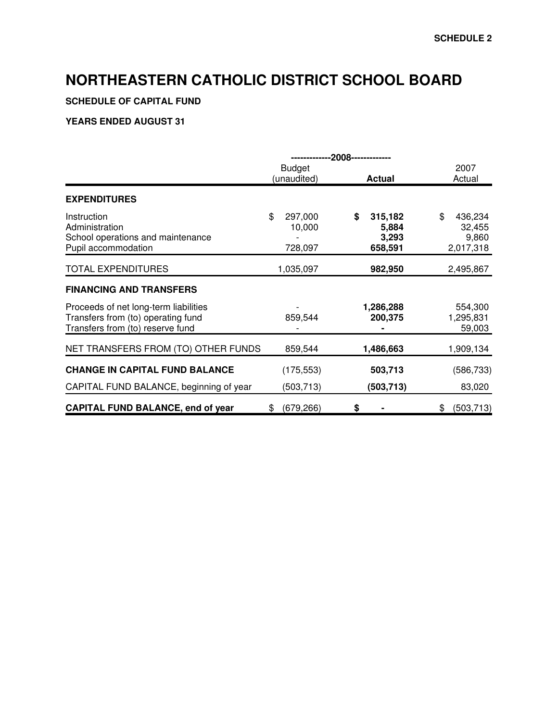## **SCHEDULE OF CAPITAL FUND**

|                                                                                                                 | --2008--------------<br>----------- |                                            |                                               |  |  |  |  |
|-----------------------------------------------------------------------------------------------------------------|-------------------------------------|--------------------------------------------|-----------------------------------------------|--|--|--|--|
|                                                                                                                 | <b>Budget</b><br>(unaudited)        | <b>Actual</b>                              | 2007<br>Actual                                |  |  |  |  |
| <b>EXPENDITURES</b>                                                                                             |                                     |                                            |                                               |  |  |  |  |
| Instruction<br>Administration<br>School operations and maintenance<br>Pupil accommodation                       | \$<br>297,000<br>10,000<br>728,097  | \$<br>315,182<br>5,884<br>3,293<br>658,591 | \$<br>436,234<br>32,455<br>9,860<br>2,017,318 |  |  |  |  |
| <b>TOTAL EXPENDITURES</b>                                                                                       | 1,035,097                           | 982,950                                    | 2,495,867                                     |  |  |  |  |
| <b>FINANCING AND TRANSFERS</b>                                                                                  |                                     |                                            |                                               |  |  |  |  |
| Proceeds of net long-term liabilities<br>Transfers from (to) operating fund<br>Transfers from (to) reserve fund | 859,544                             | 1,286,288<br>200,375                       | 554,300<br>1,295,831<br>59,003                |  |  |  |  |
| NET TRANSFERS FROM (TO) OTHER FUNDS                                                                             | 859,544                             | 1,486,663                                  | 1,909,134                                     |  |  |  |  |
| <b>CHANGE IN CAPITAL FUND BALANCE</b>                                                                           | (175, 553)                          | 503,713                                    | (586, 733)                                    |  |  |  |  |
| CAPITAL FUND BALANCE, beginning of year                                                                         | (503,713)                           | (503, 713)                                 | 83,020                                        |  |  |  |  |
| <b>CAPITAL FUND BALANCE, end of year</b>                                                                        | (679, 266)<br>\$                    | \$                                         | (503, 713)<br>\$                              |  |  |  |  |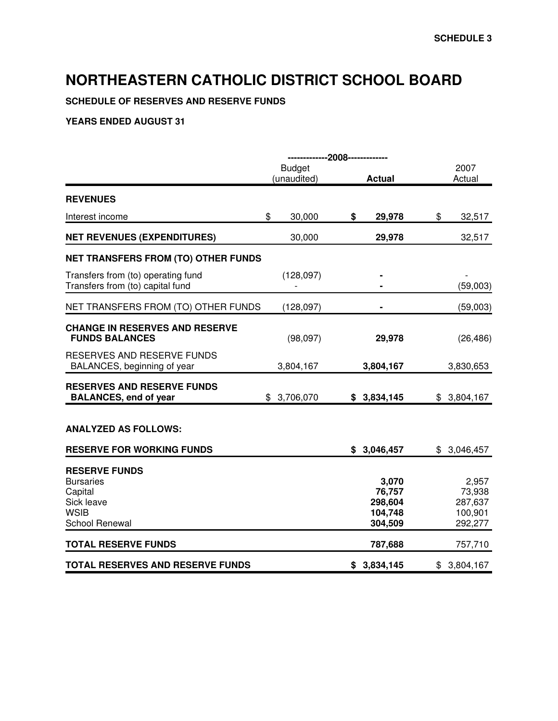**SCHEDULE OF RESERVES AND RESERVE FUNDS**

|                                                                                                    | -------------2008------------- |                                                  |                                                  |
|----------------------------------------------------------------------------------------------------|--------------------------------|--------------------------------------------------|--------------------------------------------------|
|                                                                                                    | <b>Budget</b><br>(unaudited)   | <b>Actual</b>                                    | 2007<br>Actual                                   |
| <b>REVENUES</b>                                                                                    |                                |                                                  |                                                  |
| Interest income                                                                                    | \$<br>30,000                   | \$<br>29,978                                     | \$<br>32,517                                     |
| <b>NET REVENUES (EXPENDITURES)</b>                                                                 | 30,000                         | 29,978                                           | 32,517                                           |
| NET TRANSFERS FROM (TO) OTHER FUNDS                                                                |                                |                                                  |                                                  |
| Transfers from (to) operating fund<br>Transfers from (to) capital fund                             | (128, 097)                     |                                                  | (59,003)                                         |
| NET TRANSFERS FROM (TO) OTHER FUNDS                                                                | (128, 097)                     |                                                  | (59,003)                                         |
| <b>CHANGE IN RESERVES AND RESERVE</b><br><b>FUNDS BALANCES</b>                                     | (98,097)                       | 29,978                                           | (26, 486)                                        |
| RESERVES AND RESERVE FUNDS<br>BALANCES, beginning of year                                          | 3,804,167                      | 3,804,167                                        | 3,830,653                                        |
| <b>RESERVES AND RESERVE FUNDS</b><br><b>BALANCES, end of year</b>                                  | \$3,706,070                    | \$3,834,145                                      | \$3,804,167                                      |
| <b>ANALYZED AS FOLLOWS:</b>                                                                        |                                |                                                  |                                                  |
| <b>RESERVE FOR WORKING FUNDS</b>                                                                   |                                | \$3,046,457                                      | \$3,046,457                                      |
| <b>RESERVE FUNDS</b><br><b>Bursaries</b><br>Capital<br>Sick leave<br><b>WSIB</b><br>School Renewal |                                | 3,070<br>76,757<br>298,604<br>104,748<br>304,509 | 2,957<br>73,938<br>287,637<br>100,901<br>292,277 |
| <b>TOTAL RESERVE FUNDS</b>                                                                         |                                | 787,688                                          | 757,710                                          |
| <b>TOTAL RESERVES AND RESERVE FUNDS</b>                                                            |                                | \$3,834,145                                      | \$3,804,167                                      |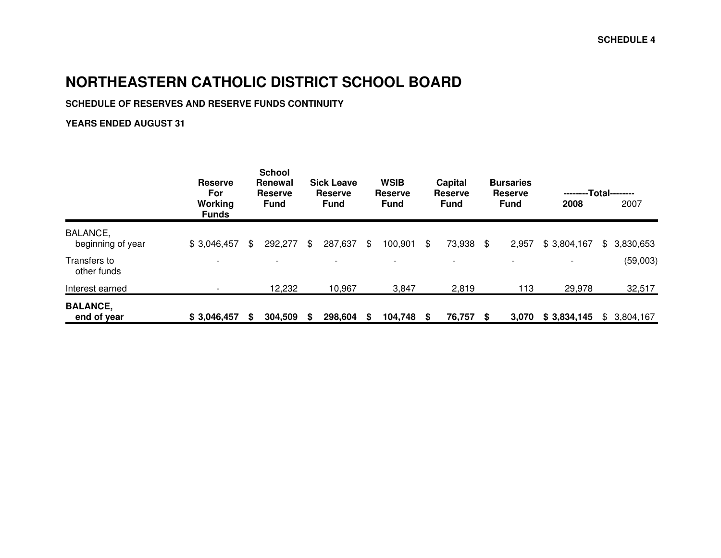## **SCHEDULE OF RESERVES AND RESERVE FUNDS CONTINUITY**

|                                | <b>Reserve</b><br>For<br>Working<br><b>Funds</b> |    | <b>School</b><br><b>Renewal</b><br><b>Reserve</b><br><b>Fund</b> |    | <b>Sick Leave</b><br><b>Reserve</b><br><b>Fund</b> |    | <b>WSIB</b><br><b>Reserve</b><br><b>Fund</b> |      | Capital<br><b>Reserve</b><br><b>Fund</b> |    | <b>Bursaries</b><br><b>Reserve</b><br><b>Fund</b> | --------Total--------<br>2008 | 2007        |
|--------------------------------|--------------------------------------------------|----|------------------------------------------------------------------|----|----------------------------------------------------|----|----------------------------------------------|------|------------------------------------------|----|---------------------------------------------------|-------------------------------|-------------|
| BALANCE,<br>beginning of year  | \$3,046,457                                      | \$ | 292,277                                                          | \$ | 287,637                                            | \$ | 100,901                                      | \$   | 73,938                                   | \$ | 2,957                                             | \$3,804,167                   | \$3,830,653 |
| Transfers to<br>other funds    | $\overline{\phantom{0}}$                         |    | $\overline{\phantom{0}}$                                         |    | $\overline{\phantom{0}}$                           |    | $\overline{\phantom{a}}$                     |      | $\overline{\phantom{a}}$                 |    | $\overline{\phantom{a}}$                          |                               | (59,003)    |
| Interest earned                |                                                  |    | 12,232                                                           |    | 10,967                                             |    | 3,847                                        |      | 2,819                                    |    | 113                                               | 29,978                        | 32,517      |
| <b>BALANCE,</b><br>end of year | \$3,046,457                                      | S  | 304,509                                                          | S  | 298,604                                            | S  | 104,748                                      | - \$ | 76,757                                   | S  | 3,070                                             | \$3,834,145                   | \$3,804,167 |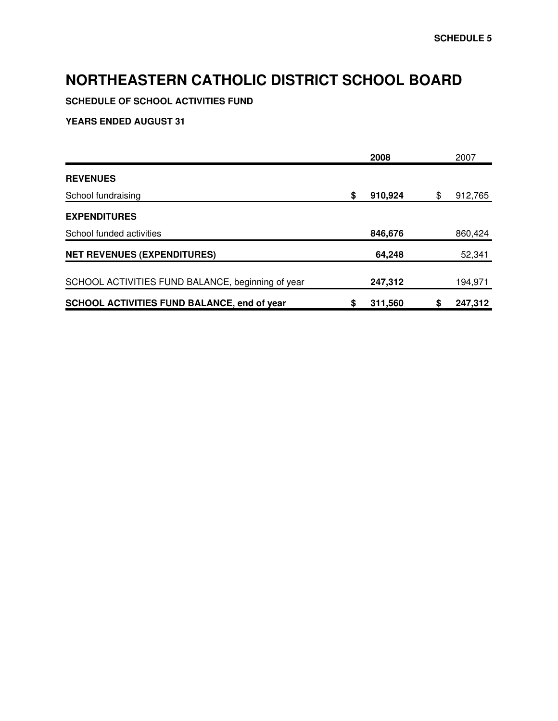**SCHEDULE OF SCHOOL ACTIVITIES FUND**

|                                                    | 2008          | 2007          |
|----------------------------------------------------|---------------|---------------|
| <b>REVENUES</b>                                    |               |               |
| School fundraising                                 | \$<br>910,924 | \$<br>912,765 |
| <b>EXPENDITURES</b>                                |               |               |
| School funded activities                           | 846,676       | 860,424       |
| <b>NET REVENUES (EXPENDITURES)</b>                 | 64,248        | 52,341        |
| SCHOOL ACTIVITIES FUND BALANCE, beginning of year  | 247,312       | 194,971       |
| <b>SCHOOL ACTIVITIES FUND BALANCE, end of year</b> | \$<br>311,560 | 247,312       |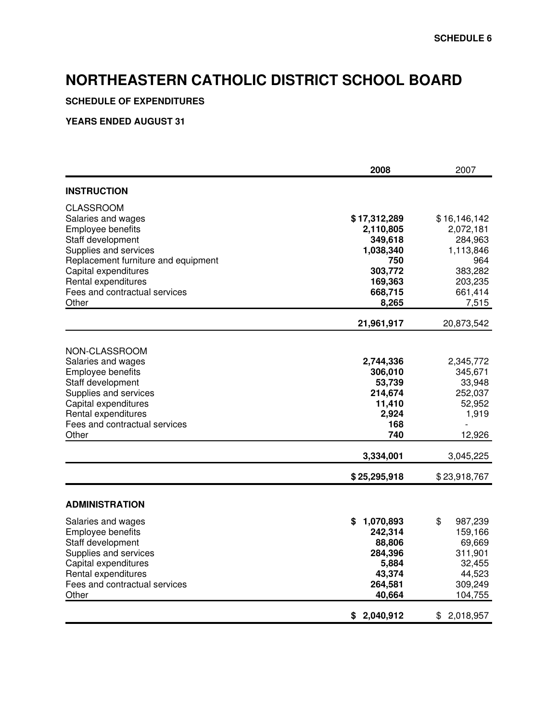## **SCHEDULE OF EXPENDITURES**

|                                                                                                                                                                                                                                    | 2008                                                                                                   | 2007                                                                                                   |
|------------------------------------------------------------------------------------------------------------------------------------------------------------------------------------------------------------------------------------|--------------------------------------------------------------------------------------------------------|--------------------------------------------------------------------------------------------------------|
| <b>INSTRUCTION</b>                                                                                                                                                                                                                 |                                                                                                        |                                                                                                        |
| CLASSROOM<br>Salaries and wages<br>Employee benefits<br>Staff development<br>Supplies and services<br>Replacement furniture and equipment<br>Capital expenditures<br>Rental expenditures<br>Fees and contractual services<br>Other | \$17,312,289<br>2,110,805<br>349,618<br>1,038,340<br>750<br>303,772<br>169,363<br>668,715<br>8,265     | \$16,146,142<br>2,072,181<br>284,963<br>1,113,846<br>964<br>383,282<br>203,235<br>661,414<br>7,515     |
|                                                                                                                                                                                                                                    | 21,961,917                                                                                             | 20,873,542                                                                                             |
| NON-CLASSROOM<br>Salaries and wages<br>Employee benefits<br>Staff development<br>Supplies and services<br>Capital expenditures<br>Rental expenditures<br>Fees and contractual services<br>Other                                    | 2,744,336<br>306,010<br>53,739<br>214,674<br>11,410<br>2,924<br>168<br>740                             | 2,345,772<br>345,671<br>33,948<br>252,037<br>52,952<br>1,919<br>12,926                                 |
|                                                                                                                                                                                                                                    | 3,334,001                                                                                              | 3,045,225                                                                                              |
|                                                                                                                                                                                                                                    | \$25,295,918                                                                                           | \$23,918,767                                                                                           |
| <b>ADMINISTRATION</b><br>Salaries and wages<br>Employee benefits<br>Staff development<br>Supplies and services<br>Capital expenditures<br>Rental expenditures<br>Fees and contractual services<br>Other                            | \$<br>1,070,893<br>242,314<br>88,806<br>284,396<br>5,884<br>43,374<br>264,581<br>40,664<br>\$2,040,912 | \$<br>987,239<br>159,166<br>69,669<br>311,901<br>32,455<br>44,523<br>309,249<br>104,755<br>\$2,018,957 |